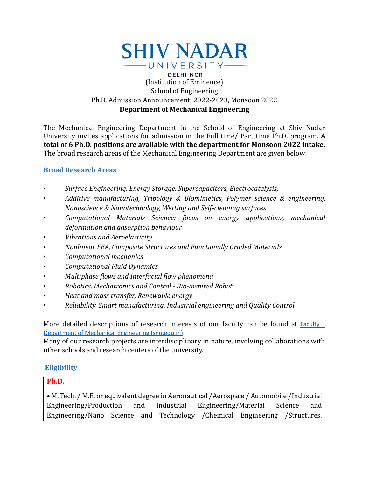

### **DELHI NCR** (Institution of Eminence) School of Engineering Ph.D. Admission Announcement: 2022-2023, Monsoon 2022 **Department of Mechanical Engineering**

The Mechanical Engineering Department in the School of Engineering at Shiv Nadar University invites applications for admission in the Full time/ Part time Ph.D. program. **A total of 6 Ph.D. positions are available with the department for Monsoon 2022 intake.** The broad research areas of the Mechanical Engineering Department are given below:

# **Broad Research Areas**

- *Surface Engineering, Energy Storage, Supercapacitors, Electrocatalysis,*
- *Additive manufacturing, Tribology & Biomimetics, Polymer science & engineering, Nanoscience & Nanotechnology, Wetting and Self-cleaning surfaces*
- *Computational Materials Science: focus on energy applications, mechanical deformation and adsorption behaviour*
- *Vibrations and Aeroelasticity*
- *Nonlinear FEA, Composite Structures and Functionally Graded Materials*
- *Computational mechanics*
- *Computational Fluid Dynamics*
- *Multiphase flows and Interfacial flow phenomena*
- *Robotics, Mechatronics and Control - Bio-inspired Robot*
- *Heat and mass transfer, Renewable energy*
- *Reliability, Smart manufacturing, Industrial engineering and Quality Control*

More detailed descriptions of research interests of our faculty can be found at Faculty | [Department of Mechanical Engineering \(snu.edu.in\)](https://mech.snu.edu.in/people/faculty)

Many of our research projects are interdisciplinary in nature, involving collaborations with other schools and research centers of the university.

# **Eligibility**

### **Ph.D.**

**•** M. Tech. / M.E. or equivalent degree in Aeronautical /Aerospace / Automobile /Industrial Engineering/Production and Industrial Engineering/Material Science and Engineering/Nano Science and Technology /Chemical Engineering /Structures,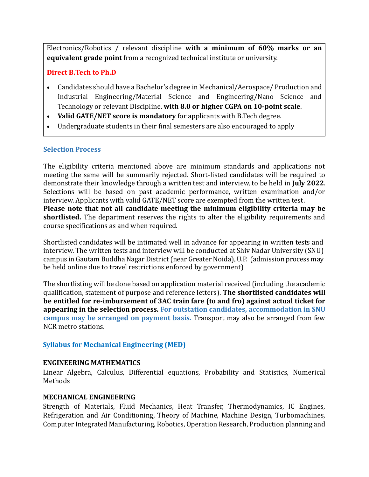Electronics/Robotics / relevant discipline **with a minimum of 60% marks or an equivalent grade point** from a recognized technical institute or university.

### **Direct B.Tech to Ph.D**

- Candidates should have a Bachelor's degree in Mechanical/Aerospace/ Production and Industrial Engineering/Material Science and Engineering/Nano Science and Technology or relevant Discipline. **with 8.0 or higher CGPA on 10-point scale**.
- **Valid GATE/NET score is mandatory** for applicants with B.Tech degree.
- Undergraduate students in their final semesters are also encouraged to apply

# **Selection Process**

The eligibility criteria mentioned above are minimum standards and applications not meeting the same will be summarily rejected. Short-listed candidates will be required to demonstrate their knowledge through a written test and interview, to be held in **July 2022**. Selections will be based on past academic performance, written examination and/or interview. Applicants with valid GATE/NET score are exempted from the written test. **Please note that not all candidate meeting the minimum eligibility criteria may be shortlisted.** The department reserves the rights to alter the eligibility requirements and course specifications as and when required.

Shortlisted candidates will be intimated well in advance for appearing in written tests and interview. The written tests and interview will be conducted at Shiv Nadar University (SNU) campus in Gautam Buddha Nagar District (near Greater Noida), U.P. (admission process may be held online due to travel restrictions enforced by government)

The shortlisting will be done based on application material received (including the academic qualification, statement of purpose and reference letters). **The shortlisted candidates will be entitled for re-imbursement of 3AC train fare (to and fro) against actual ticket for appearing in the selection process. For outstation candidates, accommodation in SNU campus may be arranged on payment basis.** Transport may also be arranged from few NCR metro stations.

# **Syllabus for Mechanical Engineering (MED)**

#### **ENGINEERING MATHEMATICS**

Linear Algebra, Calculus, Differential equations, Probability and Statistics, Numerical Methods

#### **MECHANICAL ENGINEERING**

Strength of Materials, Fluid Mechanics, Heat Transfer, Thermodynamics, IC Engines, Refrigeration and Air Conditioning, Theory of Machine, Machine Design, Turbomachines, Computer Integrated Manufacturing, Robotics, Operation Research, Production planning and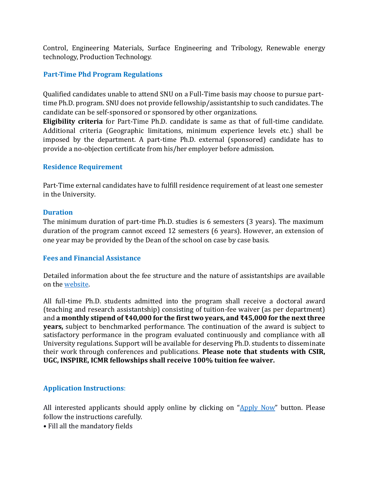Control, Engineering Materials, Surface Engineering and Tribology, Renewable energy technology, Production Technology.

### **Part-Time Phd Program Regulations**

Qualified candidates unable to attend SNU on a Full-Time basis may choose to pursue parttime Ph.D. program. SNU does not provide fellowship/assistantship to such candidates. The candidate can be self-sponsored or sponsored by other organizations.

**Eligibility criteria** for Part-Time Ph.D. candidate is same as that of full-time candidate. Additional criteria (Geographic limitations, minimum experience levels etc.) shall be imposed by the department. A part-time Ph.D. external (sponsored) candidate has to provide a no-objection certificate from his/her employer before admission.

#### **Residence Requirement**

Part-Time external candidates have to fulfill residence requirement of at least one semester in the University.

#### **Duration**

The minimum duration of part-time Ph.D. studies is 6 semesters (3 years). The maximum duration of the program cannot exceed 12 semesters (6 years). However, an extension of one year may be provided by the Dean of the school on case by case basis.

#### **Fees and Financial Assistance**

Detailed information about the fee structure and the nature of assistantships are available on the [website.](https://snu.edu.in/sites/default/files/Phd_Fee_Structure_2022.pdf)

All full-time Ph.D. students admitted into the program shall receive a doctoral award (teaching and research assistantship) consisting of tuition-fee waiver (as per department) and **a monthly stipend of ₹40,000 for the first two years, and ₹45,000 for the next three years,** subject to benchmarked performance. The continuation of the award is subject to satisfactory performance in the program evaluated continuously and compliance with all University regulations. Support will be available for deserving Ph.D. students to disseminate their work through conferences and publications. **Please note that students with CSIR, UGC, INSPIRE, ICMR fellowships shall receive 100% tuition fee waiver.**

#### **Application Instructions**:

All interested applicants should apply online by clicking on ["Apply Now"](https://applications.snu.edu.in/OnlineAppPG/public/application/Register/index) button. Please follow the instructions carefully.

• Fill all the mandatory fields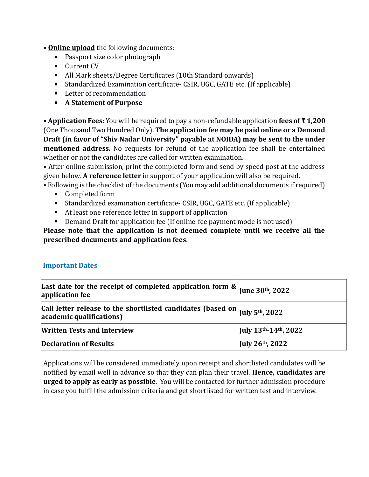### • **Online upload** the following documents:

- Passport size color photograph
- **Current CV**
- All Mark sheets/Degree Certificates (10th Standard onwards)
- Standardized Examination certificate- CSIR, UGC, GATE etc. (If applicable)
- Letter of recommendation
- **A Statement of Purpose**

• **Application Fees**: You will be required to pay a non-refundable application **fees of ₹ 1,200** (One Thousand Two Hundred Only). **The application fee may be paid online or a Demand Draft (in favor of "Shiv Nadar University" payable at NOIDA) may be sent to the under mentioned address.** No requests for refund of the application fee shall be entertained whether or not the candidates are called for written examination.

• After online submission, print the completed form and send by speed post at the address given below. **A reference letter** in support of your application will also be required.

• Following is the checklist of the documents (You may add additional documents if required)

- Completed form
- Standardized examination certificate- CSIR, UGC, GATE etc. (If applicable)
- At least one reference letter in support of application
- Demand Draft for application fee (If online-fee payment mode is not used)

**Please note that the application is not deemed complete until we receive all the prescribed documents and application fees**.

# **Important Dates**

| Last date for the receipt of completed application form & $\vert$ June 30 <sup>th</sup> , 2022<br>application fee           |                      |
|-----------------------------------------------------------------------------------------------------------------------------|----------------------|
| Call letter release to the shortlisted candidates (based on $\vert$ July 5 <sup>th</sup> , 2022<br>academic qualifications) |                      |
| <b>Written Tests and Interview</b>                                                                                          | July 13th-14th, 2022 |
| <b>Declaration of Results</b>                                                                                               | July 26th, 2022      |

Applications will be considered immediately upon receipt and shortlisted candidates will be notified by email well in advance so that they can plan their travel. **Hence, candidates are urged to apply as early as possible**. You will be contacted for further admission procedure in case you fulfill the admission criteria and get shortlisted for written test and interview.